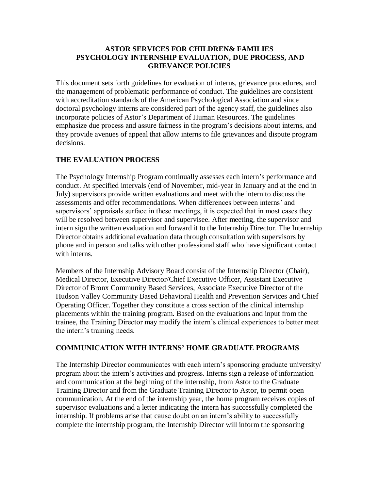#### **ASTOR SERVICES FOR CHILDREN& FAMILIES PSYCHOLOGY INTERNSHIP EVALUATION, DUE PROCESS, AND GRIEVANCE POLICIES**

This document sets forth guidelines for evaluation of interns, grievance procedures, and the management of problematic performance of conduct. The guidelines are consistent with accreditation standards of the American Psychological Association and since doctoral psychology interns are considered part of the agency staff, the guidelines also incorporate policies of Astor's Department of Human Resources. The guidelines emphasize due process and assure fairness in the program's decisions about interns, and they provide avenues of appeal that allow interns to file grievances and dispute program decisions.

# **THE EVALUATION PROCESS**

The Psychology Internship Program continually assesses each intern's performance and conduct. At specified intervals (end of November, mid-year in January and at the end in July) supervisors provide written evaluations and meet with the intern to discuss the assessments and offer recommendations. When differences between interns' and supervisors' appraisals surface in these meetings, it is expected that in most cases they will be resolved between supervisor and supervisee. After meeting, the supervisor and intern sign the written evaluation and forward it to the Internship Director. The Internship Director obtains additional evaluation data through consultation with supervisors by phone and in person and talks with other professional staff who have significant contact with interns.

Members of the Internship Advisory Board consist of the Internship Director (Chair), Medical Director, Executive Director/Chief Executive Officer, Assistant Executive Director of Bronx Community Based Services, Associate Executive Director of the Hudson Valley Community Based Behavioral Health and Prevention Services and Chief Operating Officer. Together they constitute a cross section of the clinical internship placements within the training program. Based on the evaluations and input from the trainee, the Training Director may modify the intern's clinical experiences to better meet the intern's training needs.

### **COMMUNICATION WITH INTERNS' HOME GRADUATE PROGRAMS**

The Internship Director communicates with each intern's sponsoring graduate university/ program about the intern's activities and progress. Interns sign a release of information and communication at the beginning of the internship, from Astor to the Graduate Training Director and from the Graduate Training Director to Astor, to permit open communication. At the end of the internship year, the home program receives copies of supervisor evaluations and a letter indicating the intern has successfully completed the internship. If problems arise that cause doubt on an intern's ability to successfully complete the internship program, the Internship Director will inform the sponsoring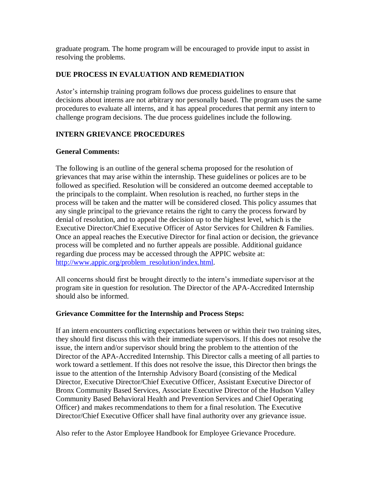graduate program. The home program will be encouraged to provide input to assist in resolving the problems.

## **DUE PROCESS IN EVALUATION AND REMEDIATION**

Astor's internship training program follows due process guidelines to ensure that decisions about interns are not arbitrary nor personally based. The program uses the same procedures to evaluate all interns, and it has appeal procedures that permit any intern to challenge program decisions. The due process guidelines include the following.

# **INTERN GRIEVANCE PROCEDURES**

# **General Comments:**

The following is an outline of the general schema proposed for the resolution of grievances that may arise within the internship. These guidelines or polices are to be followed as specified. Resolution will be considered an outcome deemed acceptable to the principals to the complaint. When resolution is reached, no further steps in the process will be taken and the matter will be considered closed. This policy assumes that any single principal to the grievance retains the right to carry the process forward by denial of resolution, and to appeal the decision up to the highest level, which is the Executive Director/Chief Executive Officer of Astor Services for Children & Families. Once an appeal reaches the Executive Director for final action or decision, the grievance process will be completed and no further appeals are possible. Additional guidance regarding due process may be accessed through the APPIC website at: [http://www.appic.org/problem\\_resolution/index.html.](http://www.appic.org/problem_resolution/index.html)

All concerns should first be brought directly to the intern's immediate supervisor at the program site in question for resolution. The Director of the APA-Accredited Internship should also be informed.

### **Grievance Committee for the Internship and Process Steps:**

If an intern encounters conflicting expectations between or within their two training sites, they should first discuss this with their immediate supervisors. If this does not resolve the issue, the intern and/or supervisor should bring the problem to the attention of the Director of the APA-Accredited Internship. This Director calls a meeting of all parties to work toward a settlement. If this does not resolve the issue, this Director then brings the issue to the attention of the Internship Advisory Board (consisting of the Medical Director, Executive Director/Chief Executive Officer, Assistant Executive Director of Bronx Community Based Services, Associate Executive Director of the Hudson Valley Community Based Behavioral Health and Prevention Services and Chief Operating Officer) and makes recommendations to them for a final resolution. The Executive Director/Chief Executive Officer shall have final authority over any grievance issue.

Also refer to the Astor Employee Handbook for Employee Grievance Procedure.